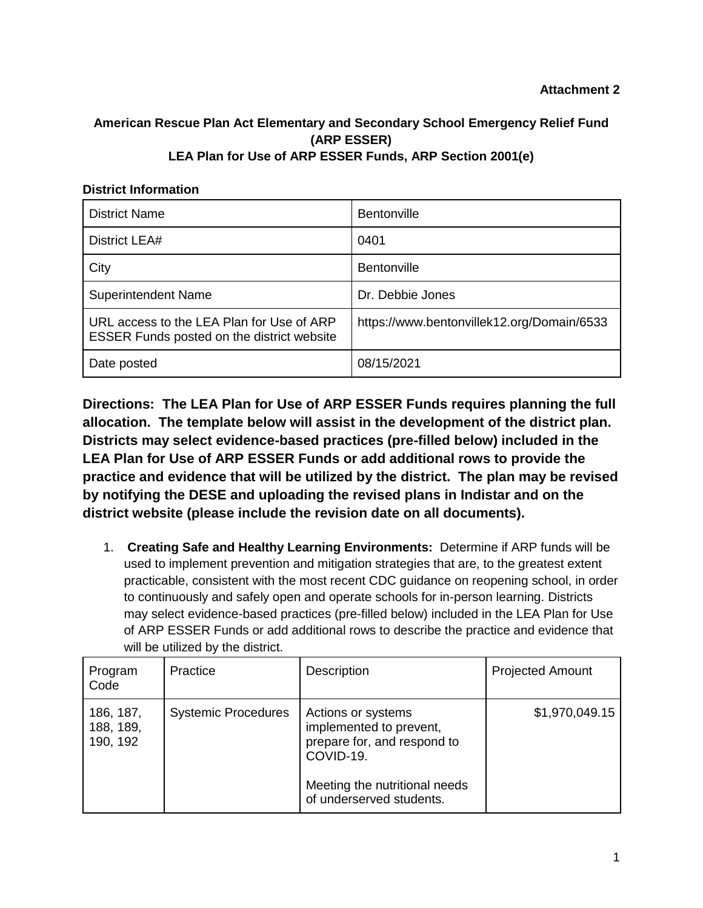**Attachment 2**

## **American Rescue Plan Act Elementary and Secondary School Emergency Relief Fund (ARP ESSER) LEA Plan for Use of ARP ESSER Funds, ARP Section 2001(e)**

## **District Information**

| <b>District Name</b>                                                                           | Bentonville                                |
|------------------------------------------------------------------------------------------------|--------------------------------------------|
| District LEA#                                                                                  | 0401                                       |
| City                                                                                           | <b>Bentonville</b>                         |
| <b>Superintendent Name</b>                                                                     | Dr. Debbie Jones                           |
| URL access to the LEA Plan for Use of ARP<br><b>ESSER Funds posted on the district website</b> | https://www.bentonvillek12.org/Domain/6533 |
| Date posted                                                                                    | 08/15/2021                                 |

**Directions: The LEA Plan for Use of ARP ESSER Funds requires planning the full allocation. The template below will assist in the development of the district plan. Districts may select evidence-based practices (pre-filled below) included in the LEA Plan for Use of ARP ESSER Funds or add additional rows to provide the practice and evidence that will be utilized by the district. The plan may be revised by notifying the DESE and uploading the revised plans in Indistar and on the district website (please include the revision date on all documents).** 

1. **Creating Safe and Healthy Learning Environments:** Determine if ARP funds will be used to implement prevention and mitigation strategies that are, to the greatest extent practicable, consistent with the most recent CDC guidance on reopening school, in order to continuously and safely open and operate schools for in-person learning. Districts may select evidence-based practices (pre-filled below) included in the LEA Plan for Use of ARP ESSER Funds or add additional rows to describe the practice and evidence that will be utilized by the district.

| Program<br>Code                    | Practice                   | Description                                                                                                                                            | <b>Projected Amount</b> |
|------------------------------------|----------------------------|--------------------------------------------------------------------------------------------------------------------------------------------------------|-------------------------|
| 186, 187,<br>188, 189,<br>190, 192 | <b>Systemic Procedures</b> | Actions or systems<br>implemented to prevent,<br>prepare for, and respond to<br>COVID-19.<br>Meeting the nutritional needs<br>of underserved students. | \$1,970,049.15          |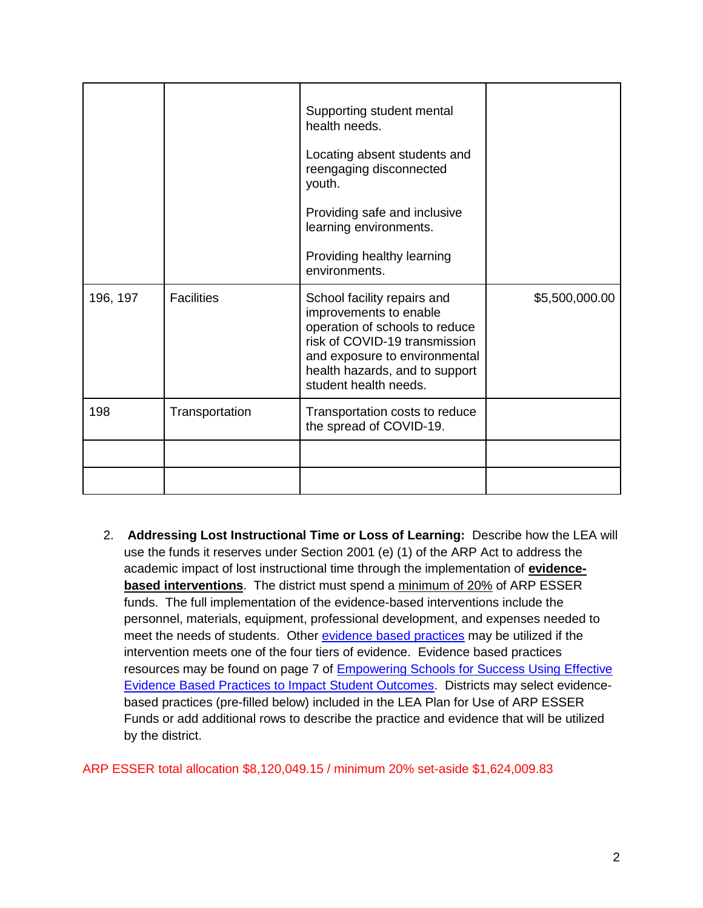|          |                   | Supporting student mental<br>health needs.<br>Locating absent students and<br>reengaging disconnected<br>youth.<br>Providing safe and inclusive<br>learning environments.<br>Providing healthy learning<br>environments. |                |
|----------|-------------------|--------------------------------------------------------------------------------------------------------------------------------------------------------------------------------------------------------------------------|----------------|
| 196, 197 | <b>Facilities</b> | School facility repairs and<br>improvements to enable<br>operation of schools to reduce<br>risk of COVID-19 transmission<br>and exposure to environmental<br>health hazards, and to support<br>student health needs.     | \$5,500,000.00 |
| 198      | Transportation    | Transportation costs to reduce<br>the spread of COVID-19.                                                                                                                                                                |                |
|          |                   |                                                                                                                                                                                                                          |                |
|          |                   |                                                                                                                                                                                                                          |                |

2. **Addressing Lost Instructional Time or Loss of Learning:** Describe how the LEA will use the funds it reserves under Section 2001 (e) (1) of the ARP Act to address the academic impact of lost instructional time through the implementation of **evidencebased interventions**. The district must spend a minimum of 20% of ARP ESSER funds. The full implementation of the evidence-based interventions include the personnel, materials, equipment, professional development, and expenses needed to meet the needs of students. Other [evidence based practices](https://dese.ade.arkansas.gov/Files/Using_Evidence_to_Impact_Student_Outcomes_rv_5_21_21_20210521171532.pdf) may be utilized if the intervention meets one of the four tiers of evidence. Evidence based practices resources may be found on page 7 of [Empowering Schools for Success Using Effective](https://dese.ade.arkansas.gov/Files/Using_Evidence_to_Impact_Student_Outcomes_rv_5_21_21_20210521171532.pdf)  [Evidence Based Practices to Impact Student Outcomes.](https://dese.ade.arkansas.gov/Files/Using_Evidence_to_Impact_Student_Outcomes_rv_5_21_21_20210521171532.pdf) Districts may select evidencebased practices (pre-filled below) included in the LEA Plan for Use of ARP ESSER Funds or add additional rows to describe the practice and evidence that will be utilized by the district.

ARP ESSER total allocation \$8,120,049.15 / minimum 20% set-aside \$1,624,009.83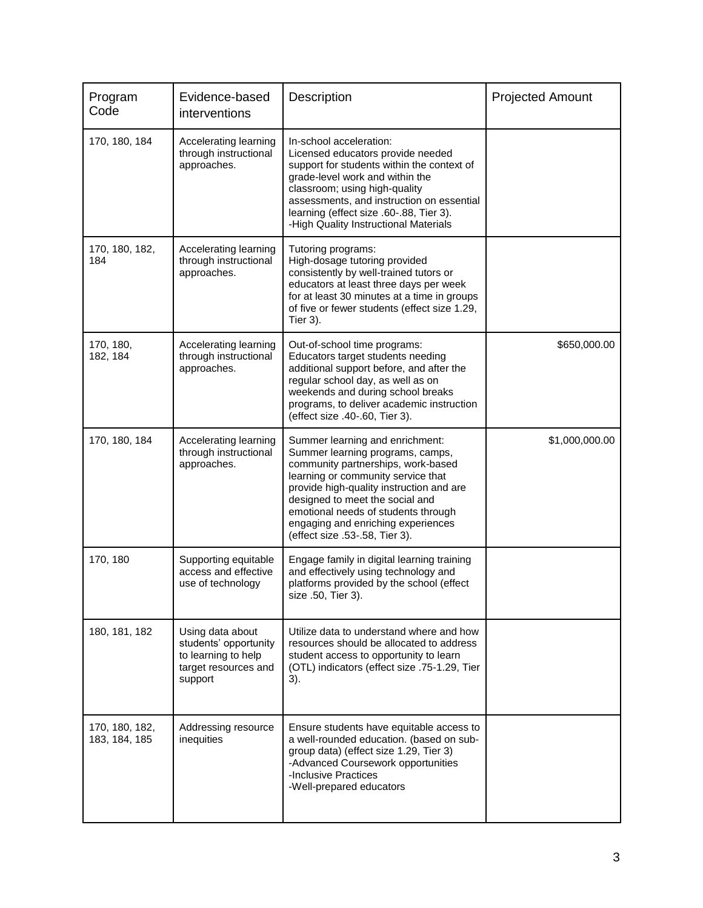| Program<br>Code                 | Evidence-based<br>interventions                                                                     | Description                                                                                                                                                                                                                                                                                                                                   | <b>Projected Amount</b> |
|---------------------------------|-----------------------------------------------------------------------------------------------------|-----------------------------------------------------------------------------------------------------------------------------------------------------------------------------------------------------------------------------------------------------------------------------------------------------------------------------------------------|-------------------------|
| 170, 180, 184                   | Accelerating learning<br>through instructional<br>approaches.                                       | In-school acceleration:<br>Licensed educators provide needed<br>support for students within the context of<br>grade-level work and within the<br>classroom; using high-quality<br>assessments, and instruction on essential<br>learning (effect size .60-.88, Tier 3).<br>-High Quality Instructional Materials                               |                         |
| 170, 180, 182,<br>184           | Accelerating learning<br>through instructional<br>approaches.                                       | Tutoring programs:<br>High-dosage tutoring provided<br>consistently by well-trained tutors or<br>educators at least three days per week<br>for at least 30 minutes at a time in groups<br>of five or fewer students (effect size 1.29,<br>Tier 3).                                                                                            |                         |
| 170, 180,<br>182, 184           | Accelerating learning<br>through instructional<br>approaches.                                       | Out-of-school time programs:<br>Educators target students needing<br>additional support before, and after the<br>regular school day, as well as on<br>weekends and during school breaks<br>programs, to deliver academic instruction<br>(effect size .40-.60, Tier 3).                                                                        | \$650,000.00            |
| 170, 180, 184                   | Accelerating learning<br>through instructional<br>approaches.                                       | Summer learning and enrichment:<br>Summer learning programs, camps,<br>community partnerships, work-based<br>learning or community service that<br>provide high-quality instruction and are<br>designed to meet the social and<br>emotional needs of students through<br>engaging and enriching experiences<br>(effect size .53-.58, Tier 3). | \$1,000,000.00          |
| 170, 180                        | Supporting equitable<br>access and effective<br>use of technology                                   | Engage family in digital learning training<br>and effectively using technology and<br>platforms provided by the school (effect<br>size .50, Tier 3).                                                                                                                                                                                          |                         |
| 180, 181, 182                   | Using data about<br>students' opportunity<br>to learning to help<br>target resources and<br>support | Utilize data to understand where and how<br>resources should be allocated to address<br>student access to opportunity to learn<br>(OTL) indicators (effect size .75-1.29, Tier<br>3).                                                                                                                                                         |                         |
| 170, 180, 182,<br>183, 184, 185 | Addressing resource<br>inequities                                                                   | Ensure students have equitable access to<br>a well-rounded education. (based on sub-<br>group data) (effect size 1.29, Tier 3)<br>-Advanced Coursework opportunities<br>-Inclusive Practices<br>-Well-prepared educators                                                                                                                      |                         |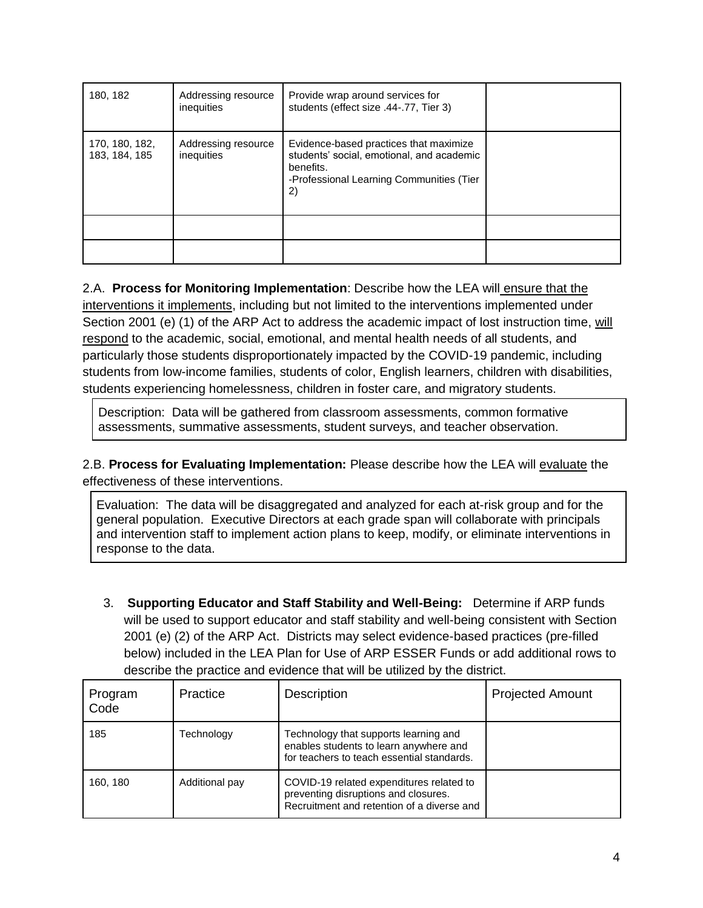| 180, 182                        | Addressing resource<br>inequities | Provide wrap around services for<br>students (effect size .44-.77, Tier 3)                                                                         |  |
|---------------------------------|-----------------------------------|----------------------------------------------------------------------------------------------------------------------------------------------------|--|
| 170, 180, 182,<br>183, 184, 185 | Addressing resource<br>inequities | Evidence-based practices that maximize<br>students' social, emotional, and academic<br>benefits.<br>-Professional Learning Communities (Tier<br>2) |  |
|                                 |                                   |                                                                                                                                                    |  |
|                                 |                                   |                                                                                                                                                    |  |

2.A. **Process for Monitoring Implementation**: Describe how the LEA will ensure that the interventions it implements, including but not limited to the interventions implemented under Section 2001 (e) (1) of the ARP Act to address the academic impact of lost instruction time, will respond to the academic, social, emotional, and mental health needs of all students, and particularly those students disproportionately impacted by the COVID-19 pandemic, including students from low-income families, students of color, English learners, children with disabilities, students experiencing homelessness, children in foster care, and migratory students.

Description: Data will be gathered from classroom assessments, common formative assessments, summative assessments, student surveys, and teacher observation.

2.B. **Process for Evaluating Implementation:** Please describe how the LEA will evaluate the effectiveness of these interventions.

Evaluation: The data will be disaggregated and analyzed for each at-risk group and for the general population. Executive Directors at each grade span will collaborate with principals and intervention staff to implement action plans to keep, modify, or eliminate interventions in response to the data.

3. **Supporting Educator and Staff Stability and Well-Being:** Determine if ARP funds will be used to support educator and staff stability and well-being consistent with Section 2001 (e) (2) of the ARP Act. Districts may select evidence-based practices (pre-filled below) included in the LEA Plan for Use of ARP ESSER Funds or add additional rows to describe the practice and evidence that will be utilized by the district.

| Program<br>Code | Practice       | <b>Description</b>                                                                                                             | <b>Projected Amount</b> |
|-----------------|----------------|--------------------------------------------------------------------------------------------------------------------------------|-------------------------|
| 185             | Technology     | Technology that supports learning and<br>enables students to learn anywhere and<br>for teachers to teach essential standards.  |                         |
| 160, 180        | Additional pay | COVID-19 related expenditures related to<br>preventing disruptions and closures.<br>Recruitment and retention of a diverse and |                         |